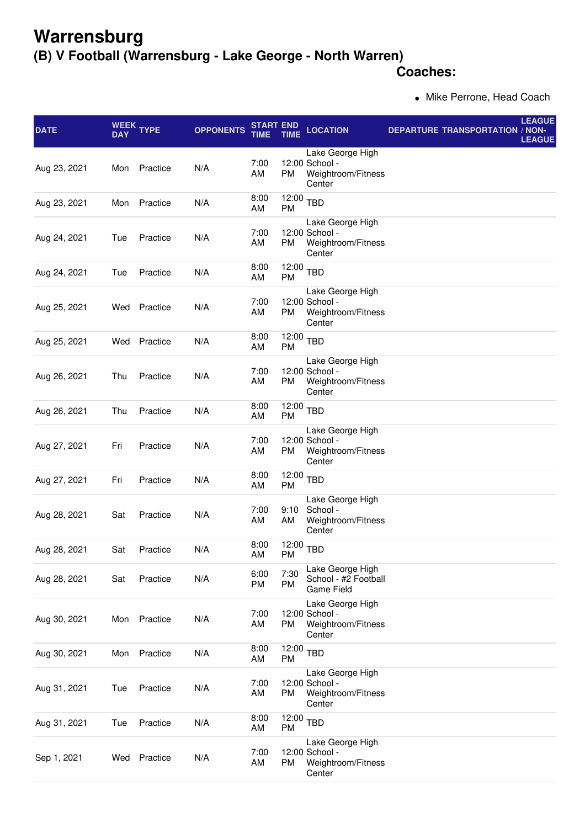## **Warrensburg**

## **(B) V Football (Warrensburg - Lake George - North Warren)**

## **Coaches:**

• Mike Perrone, Head Coach

| <b>DATE</b>  | <b>DAY</b> | WEEK TYPE | <b>OPPONENTS</b> | <b>START END</b><br>TIME | TIME                         | <b>LOCATION</b>                                                    | <b>DEPARTURE TRANSPORTATION</b> | <b>LEAGUE</b><br>/ NON-<br><b>LEAGUE</b> |
|--------------|------------|-----------|------------------|--------------------------|------------------------------|--------------------------------------------------------------------|---------------------------------|------------------------------------------|
| Aug 23, 2021 | Mon        | Practice  | N/A              | 7:00<br>AM               | PM                           | Lake George High<br>12:00 School -<br>Weightroom/Fitness<br>Center |                                 |                                          |
| Aug 23, 2021 | Mon        | Practice  | N/A              | 8:00<br>AM               | 12:00<br><b>PM</b>           | <b>TBD</b>                                                         |                                 |                                          |
| Aug 24, 2021 | Tue        | Practice  | N/A              | 7:00<br>AM               | <b>PM</b>                    | Lake George High<br>12:00 School -<br>Weightroom/Fitness<br>Center |                                 |                                          |
| Aug 24, 2021 | Tue        | Practice  | N/A              | 8:00<br>AM               | 12:00<br><b>PM</b>           | <b>TBD</b>                                                         |                                 |                                          |
| Aug 25, 2021 | Wed        | Practice  | N/A              | 7:00<br>AM               | PM                           | Lake George High<br>12:00 School -<br>Weightroom/Fitness<br>Center |                                 |                                          |
| Aug 25, 2021 | Wed        | Practice  | N/A              | 8:00<br>AM               | 12:00<br><b>PM</b>           | <b>TBD</b>                                                         |                                 |                                          |
| Aug 26, 2021 | Thu        | Practice  | N/A              | 7:00<br>AM               | <b>PM</b>                    | Lake George High<br>12:00 School -<br>Weightroom/Fitness<br>Center |                                 |                                          |
| Aug 26, 2021 | Thu        | Practice  | N/A              | 8:00<br>AM               | 12:00<br><b>PM</b>           | <b>TBD</b>                                                         |                                 |                                          |
| Aug 27, 2021 | Fri        | Practice  | N/A              | 7:00<br>AM               | PM                           | Lake George High<br>12:00 School -<br>Weightroom/Fitness<br>Center |                                 |                                          |
| Aug 27, 2021 | Fri        | Practice  | N/A              | 8:00<br>AM               | 12:00<br><b>PM</b>           | <b>TBD</b>                                                         |                                 |                                          |
| Aug 28, 2021 | Sat        | Practice  | N/A              | 7:00<br>AM               | 9:10<br>AM                   | Lake George High<br>School -<br>Weightroom/Fitness<br>Center       |                                 |                                          |
| Aug 28, 2021 | Sat        | Practice  | N/A              | 8:00<br>AM               | $\overline{12:00}$ TBD<br>PM |                                                                    |                                 |                                          |
| Aug 28, 2021 | Sat        | Practice  | N/A              | 6:00<br>PM               | 7:30<br>PM                   | Lake George High<br>School - #2 Football<br><b>Game Field</b>      |                                 |                                          |
| Aug 30, 2021 | Mon        | Practice  | N/A              | 7:00<br>AM               | PM                           | Lake George High<br>12:00 School -<br>Weightroom/Fitness<br>Center |                                 |                                          |
| Aug 30, 2021 | Mon        | Practice  | N/A              | 8:00<br>AM               | 12:00<br><b>PM</b>           | <b>TBD</b>                                                         |                                 |                                          |
| Aug 31, 2021 | Tue        | Practice  | N/A              | 7:00<br>AM               | <b>PM</b>                    | Lake George High<br>12:00 School -<br>Weightroom/Fitness<br>Center |                                 |                                          |
| Aug 31, 2021 | Tue        | Practice  | N/A              | 8:00<br>AM               | 12:00<br>PM                  | <b>TBD</b>                                                         |                                 |                                          |
| Sep 1, 2021  | Wed        | Practice  | N/A              | 7:00<br>AM               | PM                           | Lake George High<br>12:00 School -<br>Weightroom/Fitness<br>Center |                                 |                                          |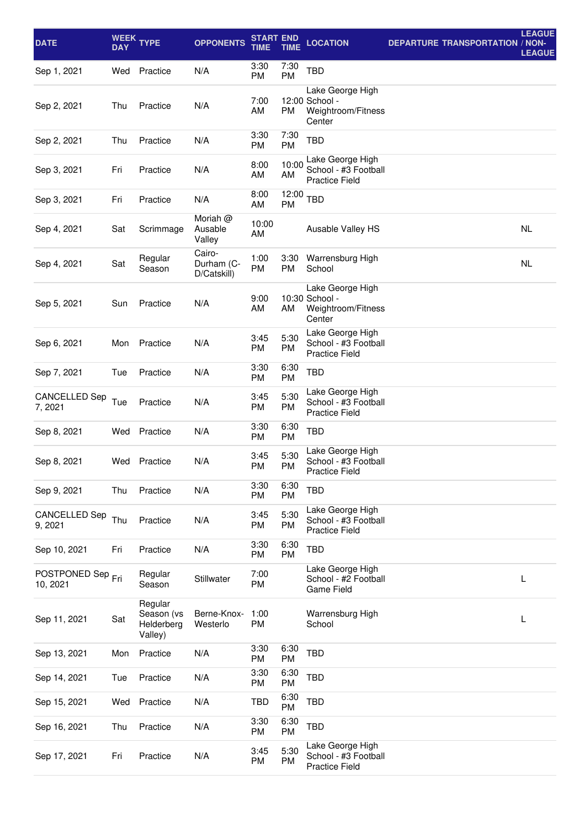| <b>DATE</b>                              | <b>DAY</b> | WEEK TYPE                                      | <b>OPPONENTS</b>                    | <b>START END</b><br>TIME | <b>TIME</b>       | <b>LOCATION</b>                                                    | <b>DEPARTURE TRANSPORTATION / NON-</b> | <b>LEAGUE</b><br><b>LEAGUE</b> |
|------------------------------------------|------------|------------------------------------------------|-------------------------------------|--------------------------|-------------------|--------------------------------------------------------------------|----------------------------------------|--------------------------------|
| Sep 1, 2021                              | Wed        | Practice                                       | N/A                                 | 3:30<br>PM               | 7:30<br>PM        | <b>TBD</b>                                                         |                                        |                                |
| Sep 2, 2021                              | Thu        | Practice                                       | N/A                                 | 7:00<br>AM               | <b>PM</b>         | Lake George High<br>12:00 School -<br>Weightroom/Fitness<br>Center |                                        |                                |
| Sep 2, 2021                              | Thu        | Practice                                       | N/A                                 | 3:30<br><b>PM</b>        | 7:30<br>PM        | <b>TBD</b>                                                         |                                        |                                |
| Sep 3, 2021                              | Fri        | Practice                                       | N/A                                 | 8:00<br>AM               | 10:00<br>AM       | Lake George High<br>School - #3 Football<br><b>Practice Field</b>  |                                        |                                |
| Sep 3, 2021                              | Fri        | Practice                                       | N/A                                 | 8:00<br>AM               | 12:00<br>PM       | <b>TBD</b>                                                         |                                        |                                |
| Sep 4, 2021                              | Sat        | Scrimmage                                      | Moriah @<br>Ausable<br>Valley       | 10:00<br>AM              |                   | Ausable Valley HS                                                  |                                        | <b>NL</b>                      |
| Sep 4, 2021                              | Sat        | Regular<br>Season                              | Cairo-<br>Durham (C-<br>D/Catskill) | 1:00<br><b>PM</b>        | 3:30<br>PM        | Warrensburg High<br>School                                         |                                        | <b>NL</b>                      |
| Sep 5, 2021                              | Sun        | Practice                                       | N/A                                 | 9:00<br>AM               | AM                | Lake George High<br>10:30 School -<br>Weightroom/Fitness<br>Center |                                        |                                |
| Sep 6, 2021                              | Mon        | Practice                                       | N/A                                 | 3:45<br>PM               | 5:30<br>PM        | Lake George High<br>School - #3 Football<br><b>Practice Field</b>  |                                        |                                |
| Sep 7, 2021                              | Tue        | Practice                                       | N/A                                 | 3:30<br><b>PM</b>        | 6:30<br>PM        | <b>TBD</b>                                                         |                                        |                                |
| CANCELLED Sep<br>7, 2021                 | Tue        | Practice                                       | N/A                                 | 3:45<br>PM               | 5:30<br>PM        | Lake George High<br>School - #3 Football<br><b>Practice Field</b>  |                                        |                                |
| Sep 8, 2021                              | Wed        | Practice                                       | N/A                                 | 3:30<br><b>PM</b>        | 6:30<br>PM        | <b>TBD</b>                                                         |                                        |                                |
| Sep 8, 2021                              | Wed        | Practice                                       | N/A                                 | 3:45<br>PM               | 5:30<br>PM        | Lake George High<br>School - #3 Football<br><b>Practice Field</b>  |                                        |                                |
| Sep 9, 2021                              | Thu        | Practice                                       | N/A                                 | 3:30<br>PM               | 6:30<br><b>PM</b> | <b>TBD</b>                                                         |                                        |                                |
| CANCELLED Sep<br>9, 2021                 | Thu        | Practice                                       | N/A                                 | 3:45<br>PM               | 5:30<br>PM        | Lake George High<br>School - #3 Football<br><b>Practice Field</b>  |                                        |                                |
| Sep 10, 2021                             | Fri        | Practice                                       | N/A                                 | 3:30<br>PM               | 6:30<br>PM        | <b>TBD</b>                                                         |                                        |                                |
| POSTPONED Sep <sub>Fri</sub><br>10, 2021 |            | Regular<br>Season                              | Stillwater                          | 7:00<br>PM               |                   | Lake George High<br>School - #2 Football<br><b>Game Field</b>      |                                        | L                              |
| Sep 11, 2021                             | Sat        | Regular<br>Season (vs<br>Helderberg<br>Valley) | Berne-Knox-<br>Westerlo             | 1:00<br>PM               |                   | Warrensburg High<br>School                                         |                                        | L                              |
| Sep 13, 2021                             | Mon        | Practice                                       | N/A                                 | 3:30<br>PM               | 6:30<br>PM        | <b>TBD</b>                                                         |                                        |                                |
| Sep 14, 2021                             | Tue        | Practice                                       | N/A                                 | 3:30<br>PM               | 6:30<br>PM        | <b>TBD</b>                                                         |                                        |                                |
| Sep 15, 2021                             | Wed        | Practice                                       | N/A                                 | <b>TBD</b>               | 6:30<br>PM        | <b>TBD</b>                                                         |                                        |                                |
| Sep 16, 2021                             | Thu        | Practice                                       | N/A                                 | 3:30<br>PM               | 6:30<br>PM        | <b>TBD</b>                                                         |                                        |                                |
| Sep 17, 2021                             | Fri        | Practice                                       | N/A                                 | 3:45<br>PM               | 5:30<br>PM        | Lake George High<br>School - #3 Football<br><b>Practice Field</b>  |                                        |                                |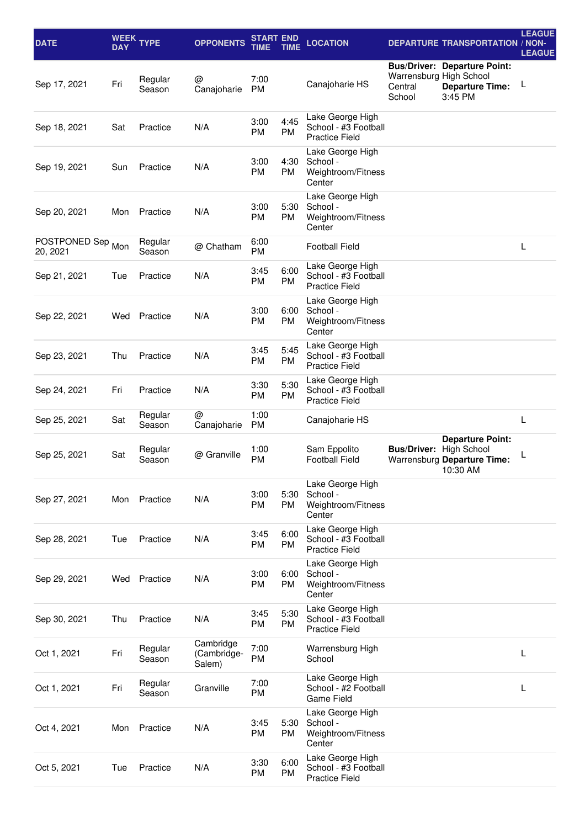| <b>DATE</b>                   | <b>DAY</b> | WEEK TYPE         | <b>OPPONENTS</b>                   | START END         | TIME              | <b>LOCATION</b>                                                   |                                              | <b>DEPARTURE TRANSPORTATION / NON-</b>                                   | <b>LEAGUE</b><br><b>LEAGUE</b> |
|-------------------------------|------------|-------------------|------------------------------------|-------------------|-------------------|-------------------------------------------------------------------|----------------------------------------------|--------------------------------------------------------------------------|--------------------------------|
| Sep 17, 2021                  | Fri        | Regular<br>Season | @<br>Canajoharie                   | 7:00<br><b>PM</b> |                   | Canajoharie HS                                                    | Warrensburg High School<br>Central<br>School | <b>Bus/Driver: Departure Point:</b><br><b>Departure Time:</b><br>3:45 PM | L                              |
| Sep 18, 2021                  | Sat        | Practice          | N/A                                | 3:00<br><b>PM</b> | 4:45<br><b>PM</b> | Lake George High<br>School - #3 Football<br><b>Practice Field</b> |                                              |                                                                          |                                |
| Sep 19, 2021                  | Sun        | Practice          | N/A                                | 3:00<br><b>PM</b> | 4:30<br><b>PM</b> | Lake George High<br>School -<br>Weightroom/Fitness<br>Center      |                                              |                                                                          |                                |
| Sep 20, 2021                  | Mon        | Practice          | N/A                                | 3:00<br>PM        | 5:30<br><b>PM</b> | Lake George High<br>School -<br>Weightroom/Fitness<br>Center      |                                              |                                                                          |                                |
| POSTPONED Sep Mon<br>20, 2021 |            | Regular<br>Season | @ Chatham                          | 6:00<br><b>PM</b> |                   | <b>Football Field</b>                                             |                                              |                                                                          | L                              |
| Sep 21, 2021                  | Tue        | Practice          | N/A                                | 3:45<br><b>PM</b> | 6:00<br><b>PM</b> | Lake George High<br>School - #3 Football<br><b>Practice Field</b> |                                              |                                                                          |                                |
| Sep 22, 2021                  | Wed        | Practice          | N/A                                | 3:00<br><b>PM</b> | 6:00<br><b>PM</b> | Lake George High<br>School -<br>Weightroom/Fitness<br>Center      |                                              |                                                                          |                                |
| Sep 23, 2021                  | Thu        | Practice          | N/A                                | 3:45<br>PM        | 5:45<br><b>PM</b> | Lake George High<br>School - #3 Football<br><b>Practice Field</b> |                                              |                                                                          |                                |
| Sep 24, 2021                  | Fri        | Practice          | N/A                                | 3:30<br>PM        | 5:30<br><b>PM</b> | Lake George High<br>School - #3 Football<br><b>Practice Field</b> |                                              |                                                                          |                                |
| Sep 25, 2021                  | Sat        | Regular<br>Season | @<br>Canajoharie                   | 1:00<br><b>PM</b> |                   | Canajoharie HS                                                    |                                              |                                                                          | L                              |
| Sep 25, 2021                  | Sat        | Regular<br>Season | @ Granville                        | 1:00<br><b>PM</b> |                   | Sam Eppolito<br><b>Football Field</b>                             | <b>Bus/Driver: High School</b>               | <b>Departure Point:</b><br>Warrensburg Departure Time:<br>10:30 AM       | L                              |
| Sep 27, 2021                  | Mon        | Practice          | N/A                                | 3:00<br>PM        | 5:30<br><b>PM</b> | Lake George High<br>School -<br>Weightroom/Fitness<br>Center      |                                              |                                                                          |                                |
| Sep 28, 2021                  | Tue        | Practice          | N/A                                | 3:45<br>PM        | 6:00<br><b>PM</b> | Lake George High<br>School - #3 Football<br><b>Practice Field</b> |                                              |                                                                          |                                |
| Sep 29, 2021                  | Wed        | Practice          | N/A                                | 3:00<br>PM        | 6:00<br><b>PM</b> | Lake George High<br>School -<br>Weightroom/Fitness<br>Center      |                                              |                                                                          |                                |
| Sep 30, 2021                  | Thu        | Practice          | N/A                                | 3:45<br>PM        | 5:30<br><b>PM</b> | Lake George High<br>School - #3 Football<br><b>Practice Field</b> |                                              |                                                                          |                                |
| Oct 1, 2021                   | Fri        | Regular<br>Season | Cambridge<br>(Cambridge-<br>Salem) | 7:00<br>PM        |                   | Warrensburg High<br>School                                        |                                              |                                                                          | L                              |
| Oct 1, 2021                   | Fri        | Regular<br>Season | Granville                          | 7:00<br>PM        |                   | Lake George High<br>School - #2 Football<br><b>Game Field</b>     |                                              |                                                                          | L                              |
| Oct 4, 2021                   | Mon        | Practice          | N/A                                | 3:45<br>PM        | 5:30<br><b>PM</b> | Lake George High<br>School -<br>Weightroom/Fitness<br>Center      |                                              |                                                                          |                                |
| Oct 5, 2021                   | Tue        | Practice          | N/A                                | 3:30<br>PM        | 6:00<br><b>PM</b> | Lake George High<br>School - #3 Football<br><b>Practice Field</b> |                                              |                                                                          |                                |